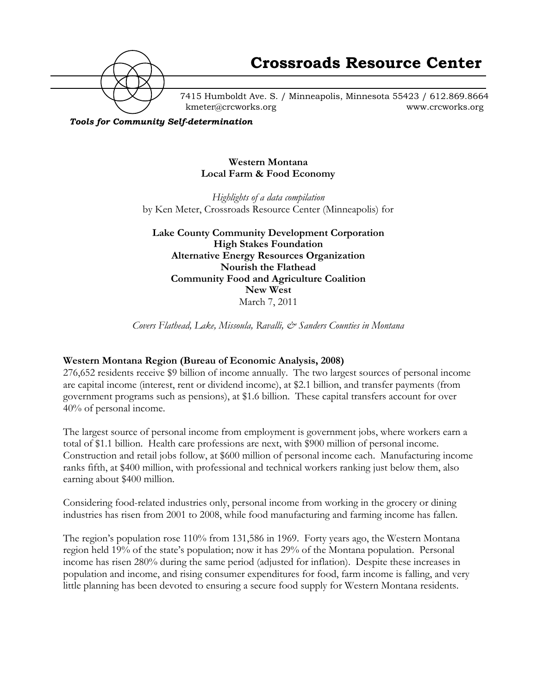

7415 Humboldt Ave. S. / Minneapolis, Minnesota 55423 / 612.869.8664 kmeter@crcworks.org www.crcworks.org

*Tools for Community Self-determination*

#### **Western Montana Local Farm & Food Economy**

*Highlights of a data compilation* by Ken Meter, Crossroads Resource Center (Minneapolis) for

**Lake County Community Development Corporation High Stakes Foundation Alternative Energy Resources Organization Nourish the Flathead Community Food and Agriculture Coalition New West** March 7, 2011

*Covers Flathead, Lake, Missoula, Ravalli, & Sanders Counties in Montana*

#### **Western Montana Region (Bureau of Economic Analysis, 2008)**

276,652 residents receive \$9 billion of income annually. The two largest sources of personal income are capital income (interest, rent or dividend income), at \$2.1 billion, and transfer payments (from government programs such as pensions), at \$1.6 billion. These capital transfers account for over 40% of personal income.

The largest source of personal income from employment is government jobs, where workers earn a total of \$1.1 billion. Health care professions are next, with \$900 million of personal income. Construction and retail jobs follow, at \$600 million of personal income each. Manufacturing income ranks fifth, at \$400 million, with professional and technical workers ranking just below them, also earning about \$400 million.

Considering food-related industries only, personal income from working in the grocery or dining industries has risen from 2001 to 2008, while food manufacturing and farming income has fallen.

The region's population rose 110% from 131,586 in 1969. Forty years ago, the Western Montana region held 19% of the state's population; now it has 29% of the Montana population. Personal income has risen 280% during the same period (adjusted for inflation). Despite these increases in population and income, and rising consumer expenditures for food, farm income is falling, and very little planning has been devoted to ensuring a secure food supply for Western Montana residents.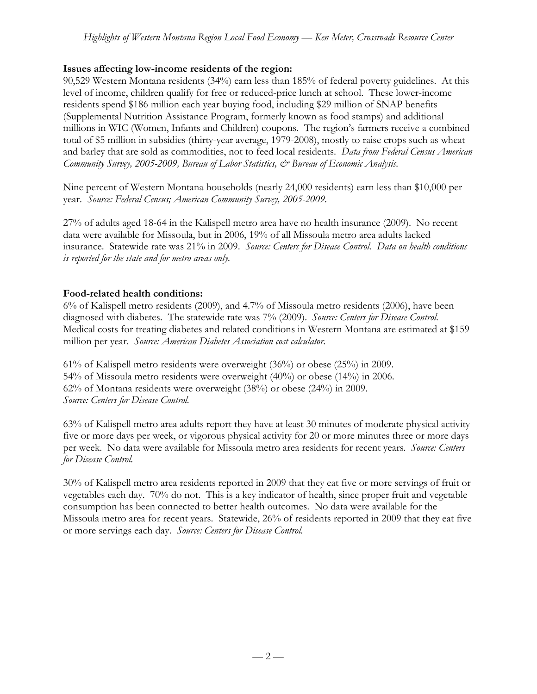## **Issues affecting low-income residents of the region:**

90,529 Western Montana residents (34%) earn less than 185% of federal poverty guidelines. At this level of income, children qualify for free or reduced-price lunch at school. These lower-income residents spend \$186 million each year buying food, including \$29 million of SNAP benefits (Supplemental Nutrition Assistance Program, formerly known as food stamps) and additional millions in WIC (Women, Infants and Children) coupons. The region's farmers receive a combined total of \$5 million in subsidies (thirty-year average, 1979-2008), mostly to raise crops such as wheat and barley that are sold as commodities, not to feed local residents. *Data from Federal Census American Community Survey, 2005-2009, Bureau of Labor Statistics, & Bureau of Economic Analysis.*

Nine percent of Western Montana households (nearly 24,000 residents) earn less than \$10,000 per year. *Source: Federal Census; American Community Survey, 2005-2009.*

27% of adults aged 18-64 in the Kalispell metro area have no health insurance (2009). No recent data were available for Missoula, but in 2006, 19% of all Missoula metro area adults lacked insurance. Statewide rate was 21% in 2009. *Source: Centers for Disease Control. Data on health conditions is reported for the state and for metro areas only.*

### **Food-related health conditions:**

6% of Kalispell metro residents (2009), and 4.7% of Missoula metro residents (2006), have been diagnosed with diabetes. The statewide rate was 7% (2009). *Source: Centers for Disease Control.* Medical costs for treating diabetes and related conditions in Western Montana are estimated at \$159 million per year. *Source: American Diabetes Association cost calculator.*

61% of Kalispell metro residents were overweight (36%) or obese (25%) in 2009. 54% of Missoula metro residents were overweight (40%) or obese (14%) in 2006. 62% of Montana residents were overweight (38%) or obese (24%) in 2009. *Source: Centers for Disease Control.*

63% of Kalispell metro area adults report they have at least 30 minutes of moderate physical activity five or more days per week, or vigorous physical activity for 20 or more minutes three or more days per week.No data were available for Missoula metro area residents for recent years*. Source: Centers for Disease Control.*

30% of Kalispell metro area residents reported in 2009 that they eat five or more servings of fruit or vegetables each day. 70% do not. This is a key indicator of health, since proper fruit and vegetable consumption has been connected to better health outcomes. No data were available for the Missoula metro area for recent years. Statewide, 26% of residents reported in 2009 that they eat five or more servings each day. *Source: Centers for Disease Control.*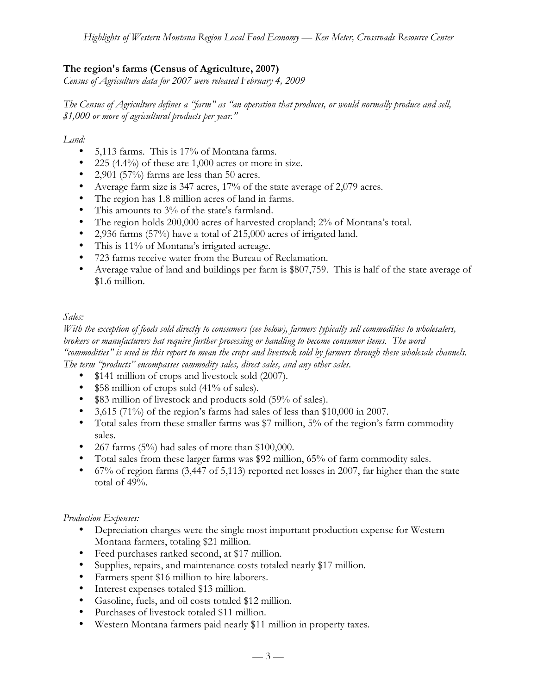# **The region's farms (Census of Agriculture, 2007)**

*Census of Agriculture data for 2007 were released February 4, 2009*

*The Census of Agriculture defines a "farm" as "an operation that produces, or would normally produce and sell, \$1,000 or more of agricultural products per year."*

*Land:*

- 5,113 farms. This is 17% of Montana farms.
- 225 (4.4%) of these are 1,000 acres or more in size.
- 2,901 (57%) farms are less than 50 acres.
- Average farm size is 347 acres, 17% of the state average of 2,079 acres.
- The region has 1.8 million acres of land in farms.
- This amounts to 3% of the state's farmland.
- The region holds 200,000 acres of harvested cropland; 2% of Montana's total.
- 2,936 farms (57%) have a total of 215,000 acres of irrigated land.
- This is 11% of Montana's irrigated acreage.
- 723 farms receive water from the Bureau of Reclamation.
- Average value of land and buildings per farm is \$807,759. This is half of the state average of \$1.6 million.

## *Sales:*

*With the exception of foods sold directly to consumers (see below), farmers typically sell commodities to wholesalers, brokers or manufacturers hat require further processing or handling to become consumer items. The word "commodities" is used in this report to mean the crops and livestock sold by farmers through these wholesale channels. The term "products" encompasses commodity sales, direct sales, and any other sales.*

- \$141 million of crops and livestock sold (2007).
- \$58 million of crops sold (41% of sales).
- \$83 million of livestock and products sold (59% of sales).
- 3,615 (71%) of the region's farms had sales of less than \$10,000 in 2007.
- Total sales from these smaller farms was \$7 million, 5% of the region's farm commodity sales.
- 267 farms  $(5\%)$  had sales of more than \$100,000.
- Total sales from these larger farms was \$92 million, 65% of farm commodity sales.
- 67% of region farms (3,447 of 5,113) reported net losses in 2007, far higher than the state total of 49%.

#### *Production Expenses:*

- Depreciation charges were the single most important production expense for Western Montana farmers, totaling \$21 million.
- Feed purchases ranked second, at \$17 million.
- Supplies, repairs, and maintenance costs totaled nearly \$17 million.
- Farmers spent \$16 million to hire laborers.
- Interest expenses totaled \$13 million.
- Gasoline, fuels, and oil costs totaled \$12 million.
- Purchases of livestock totaled \$11 million.
- Western Montana farmers paid nearly \$11 million in property taxes.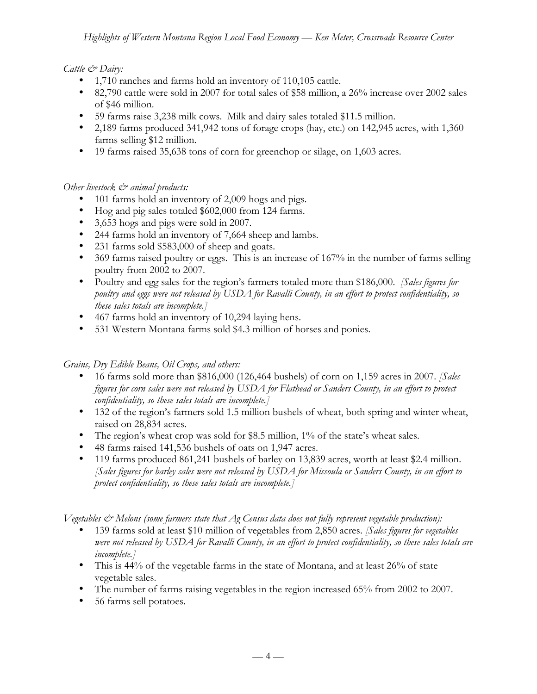## *Cattle & Dairy:*

- 1,710 ranches and farms hold an inventory of 110,105 cattle.
- 82,790 cattle were sold in 2007 for total sales of \$58 million, a 26% increase over 2002 sales of \$46 million.
- 59 farms raise 3,238 milk cows. Milk and dairy sales totaled \$11.5 million.
- 2,189 farms produced 341,942 tons of forage crops (hay, etc.) on 142,945 acres, with 1,360 farms selling \$12 million.
- 19 farms raised 35,638 tons of corn for greenchop or silage, on 1,603 acres.

### *Other livestock & animal products:*

- 101 farms hold an inventory of 2,009 hogs and pigs.
- Hog and pig sales totaled \$602,000 from 124 farms.
- 3,653 hogs and pigs were sold in 2007.
- 244 farms hold an inventory of 7,664 sheep and lambs.
- 231 farms sold \$583,000 of sheep and goats.
- 369 farms raised poultry or eggs. This is an increase of 167% in the number of farms selling poultry from 2002 to 2007.
- Poultry and egg sales for the region's farmers totaled more than \$186,000. *[Sales figures for poultry and eggs were not released by USDA for Ravalli County, in an effort to protect confidentiality, so these sales totals are incomplete.]*
- 467 farms hold an inventory of 10,294 laying hens.
- 531 Western Montana farms sold \$4.3 million of horses and ponies.

## *Grains, Dry Edible Beans, Oil Crops, and others:*

- 16 farms sold more than \$816,000 (126,464 bushels) of corn on 1,159 acres in 2007. *[Sales figures for corn sales were not released by USDA for Flathead or Sanders County, in an effort to protect confidentiality, so these sales totals are incomplete.]*
- 132 of the region's farmers sold 1.5 million bushels of wheat, both spring and winter wheat, raised on 28,834 acres.
- The region's wheat crop was sold for \$8.5 million, 1% of the state's wheat sales.
- 48 farms raised 141,536 bushels of oats on 1,947 acres.
- 119 farms produced 861,241 bushels of barley on 13,839 acres, worth at least \$2.4 million. *[Sales figures for barley sales were not released by USDA for Missoula or Sanders County, in an effort to protect confidentiality, so these sales totals are incomplete.]*

*Vegetables & Melons (some farmers state that Ag Census data does not fully represent vegetable production):*

- 139 farms sold at least \$10 million of vegetables from 2,850 acres. *[Sales figures for vegetables were not released by USDA for Ravalli County, in an effort to protect confidentiality, so these sales totals are incomplete.]*
- This is 44% of the vegetable farms in the state of Montana, and at least 26% of state vegetable sales.
- The number of farms raising vegetables in the region increased 65% from 2002 to 2007.
- 56 farms sell potatoes.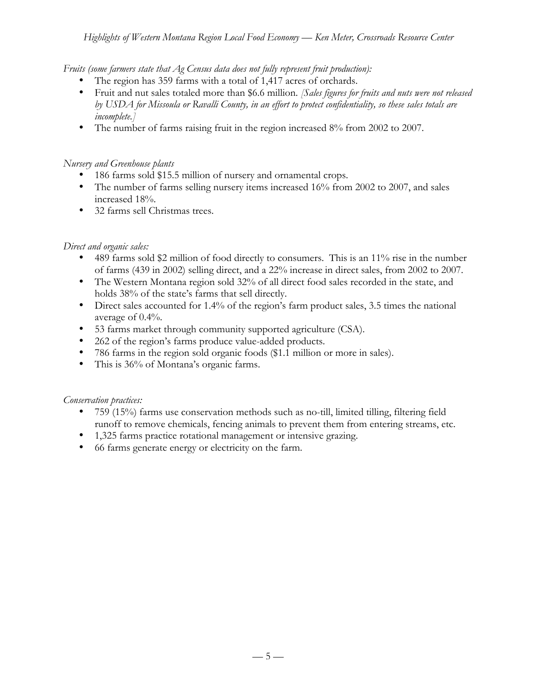*Fruits (some farmers state that Ag Census data does not fully represent fruit production):*

- The region has 359 farms with a total of 1,417 acres of orchards.
- Fruit and nut sales totaled more than \$6.6 million. *[Sales figures for fruits and nuts were not released by USDA for Missoula or Ravalli County, in an effort to protect confidentiality, so these sales totals are incomplete.]*
- The number of farms raising fruit in the region increased 8% from 2002 to 2007.

#### *Nursery and Greenhouse plants*

- 186 farms sold \$15.5 million of nursery and ornamental crops.
- The number of farms selling nursery items increased 16% from 2002 to 2007, and sales increased 18%.
- 32 farms sell Christmas trees.

### *Direct and organic sales:*

- 489 farms sold \$2 million of food directly to consumers. This is an 11% rise in the number of farms (439 in 2002) selling direct, and a 22% increase in direct sales, from 2002 to 2007.
- The Western Montana region sold 32% of all direct food sales recorded in the state, and holds 38% of the state's farms that sell directly.
- Direct sales accounted for 1.4% of the region's farm product sales, 3.5 times the national average of 0.4%.
- 53 farms market through community supported agriculture (CSA).
- 262 of the region's farms produce value-added products.
- 786 farms in the region sold organic foods (\$1.1 million or more in sales).
- This is 36% of Montana's organic farms.

*Conservation practices:*

- 759 (15%) farms use conservation methods such as no-till, limited tilling, filtering field runoff to remove chemicals, fencing animals to prevent them from entering streams, etc.
- 1,325 farms practice rotational management or intensive grazing.
- 66 farms generate energy or electricity on the farm.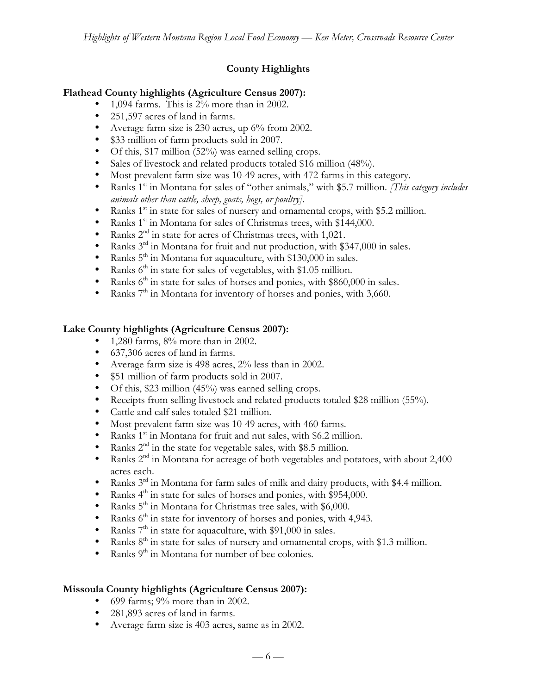# **County Highlights**

### **Flathead County highlights (Agriculture Census 2007):**

- 1,094 farms. This is 2% more than in 2002.
- 251,597 acres of land in farms.
- Average farm size is 230 acres, up 6% from 2002.
- \$33 million of farm products sold in 2007.
- Of this, \$17 million (52%) was earned selling crops.
- Sales of livestock and related products totaled \$16 million (48%).
- Most prevalent farm size was 10-49 acres, with 472 farms in this category.
- Ranks 1<sup>st</sup> in Montana for sales of "other animals," with \$5.7 million. *[This category includes animals other than cattle, sheep, goats, hogs, or poultry].*
- Ranks  $1<sup>st</sup>$  in state for sales of nursery and ornamental crops, with \$5.2 million.
- Ranks 1<sup>st</sup> in Montana for sales of Christmas trees, with \$144,000.
- Ranks  $2<sup>nd</sup>$  in state for acres of Christmas trees, with 1,021.<br>• Ranks  $3<sup>rd</sup>$  in Montana for fruit and nut production with \$3
- Ranks  $3<sup>rd</sup>$  in Montana for fruit and nut production, with \$347,000 in sales.
- Ranks  $5<sup>th</sup>$  in Montana for aquaculture, with \$130,000 in sales.
- Ranks  $6<sup>th</sup>$  in state for sales of vegetables, with \$1.05 million.<br>• Ranks  $6<sup>th</sup>$  in state for sales of borses and popies, with \$8600
- Ranks  $6<sup>th</sup>$  in state for sales of horses and ponies, with \$860,000 in sales.
- Ranks  $7<sup>th</sup>$  in Montana for inventory of horses and ponies, with 3,660.

### **Lake County highlights (Agriculture Census 2007):**

- 1,280 farms,  $8\%$  more than in 2002.
- 637,306 acres of land in farms.
- Average farm size is 498 acres, 2% less than in 2002.
- \$51 million of farm products sold in 2007.
- Of this, \$23 million (45%) was earned selling crops.
- Receipts from selling livestock and related products totaled \$28 million (55%).
- Cattle and calf sales totaled \$21 million.
- Most prevalent farm size was 10-49 acres, with 460 farms.
- Ranks  $1<sup>st</sup>$  in Montana for fruit and nut sales, with \$6.2 million.
- Ranks  $2<sup>nd</sup>$  in the state for vegetable sales, with \$8.5 million.
- Ranks  $2<sup>nd</sup>$  in Montana for acreage of both vegetables and potatoes, with about 2,400 acres each.
- Ranks 3<sup>rd</sup> in Montana for farm sales of milk and dairy products, with \$4.4 million.
- Ranks  $4^{\text{th}}$  in state for sales of horses and ponies, with \$954,000.<br>• Ranks  $5^{\text{th}}$  in Montana for Christmas tree sales, with \$6,000.
- Ranks  $5<sup>th</sup>$  in Montana for Christmas tree sales, with \$6,000.
- Ranks  $6<sup>th</sup>$  in state for inventory of horses and ponies, with 4,943.
- Ranks  $7^{\text{th}}$  in state for aquaculture, with \$91,000 in sales.<br>• Ranks  $8^{\text{th}}$  in state for sales of nursery and ornamental cr.
- Ranks 8<sup>th</sup> in state for sales of nursery and ornamental crops, with \$1.3 million.
- Ranks 9<sup>th</sup> in Montana for number of bee colonies.

## **Missoula County highlights (Agriculture Census 2007):**

- 699 farms;  $9\%$  more than in 2002.
- 281,893 acres of land in farms.
- Average farm size is 403 acres, same as in 2002.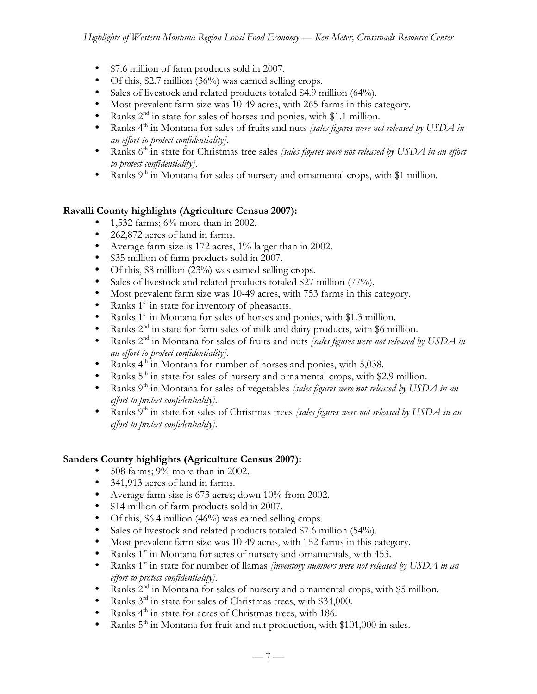- \$7.6 million of farm products sold in 2007.
- Of this, \$2.7 million (36%) was earned selling crops.
- Sales of livestock and related products totaled \$4.9 million (64%).
- Most prevalent farm size was 10-49 acres, with 265 farms in this category.
- Ranks  $2<sup>nd</sup>$  in state for sales of horses and ponies, with \$1.1 million.
- Ranks 4<sup>th</sup> in Montana for sales of fruits and nuts *[sales figures were not released by USDA in an effort to protect confidentiality].*
- Ranks 6<sup>th</sup> in state for Christmas tree sales *[sales figures were not released by USDA in an effort to protect confidentiality].*
- Ranks  $9<sup>th</sup>$  in Montana for sales of nursery and ornamental crops, with \$1 million.

### **Ravalli County highlights (Agriculture Census 2007):**

- 1,532 farms;  $6\%$  more than in 2002.
- 262,872 acres of land in farms.
- Average farm size is 172 acres, 1% larger than in 2002.
- \$35 million of farm products sold in 2007.
- Of this, \$8 million (23%) was earned selling crops.
- Sales of livestock and related products totaled \$27 million (77%).
- Most prevalent farm size was 10-49 acres, with 753 farms in this category.
- Ranks  $1<sup>st</sup>$  in state for inventory of pheasants.
- Ranks  $1^{st}$  in Montana for sales of horses and ponies, with \$1.3 million.<br>• Ranks  $2^{nd}$  in state for farm sales of milk and dairy products, with \$6 mi
- Ranks  $2<sup>nd</sup>$  in state for farm sales of milk and dairy products, with \$6 million.
- Ranks 2<sup>nd</sup> in Montana for sales of fruits and nuts *[sales figures were not released by USDA in an effort to protect confidentiality].*
- Ranks  $4<sup>th</sup>$  in Montana for number of horses and ponies, with 5,038.
- Ranks  $5<sup>th</sup>$  in state for sales of nursery and ornamental crops, with \$2.9 million.
- Ranks 9<sup>th</sup> in Montana for sales of vegetables *[sales figures were not released by USDA in an effort to protect confidentiality].*
- Ranks 9th in state for sales of Christmas trees *[sales figures were not released by USDA in an effort to protect confidentiality].*

#### **Sanders County highlights (Agriculture Census 2007):**

- 508 farms; 9% more than in 2002.
- 341,913 acres of land in farms.
- Average farm size is 673 acres; down 10% from 2002.
- \$14 million of farm products sold in 2007.
- Of this, \$6.4 million (46%) was earned selling crops.
- Sales of livestock and related products totaled \$7.6 million (54%).
- Most prevalent farm size was 10-49 acres, with 152 farms in this category.
- Ranks  $1^{st}$  in Montana for acres of nursery and ornamentals, with 453.
- Ranks 1<sup>st</sup> in state for number of llamas *[inventory numbers were not released by USDA in an effort to protect confidentiality].*
- Ranks  $2<sup>nd</sup>$  in Montana for sales of nursery and ornamental crops, with \$5 million.
- Ranks  $3<sup>rd</sup>$  in state for sales of Christmas trees, with \$34,000.
- Ranks  $4^{\text{th}}$  in state for acres of Christmas trees, with 186.<br>• Ranks  $5^{\text{th}}$  in Montana for fruit and nut production with
- Ranks  $5<sup>th</sup>$  in Montana for fruit and nut production, with \$101,000 in sales.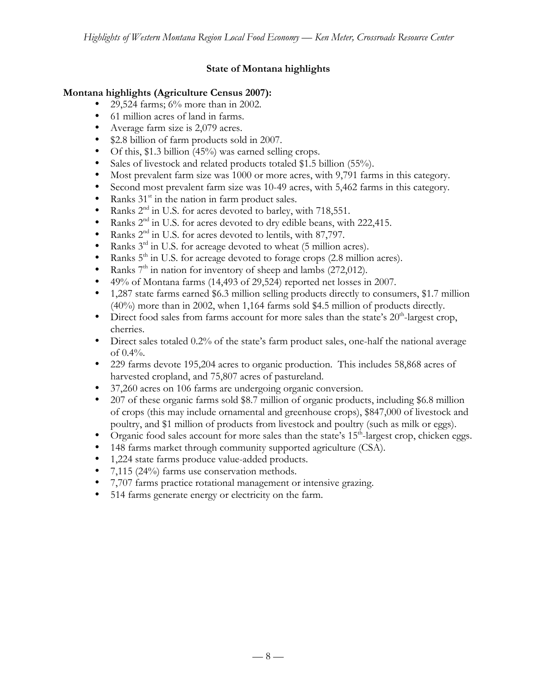## **State of Montana highlights**

#### **Montana highlights (Agriculture Census 2007):**

- 29,524 farms; 6% more than in 2002.
- 61 million acres of land in farms.
- Average farm size is 2,079 acres.
- \$2.8 billion of farm products sold in 2007.
- Of this, \$1.3 billion (45%) was earned selling crops.
- Sales of livestock and related products totaled \$1.5 billion (55%).
- Most prevalent farm size was 1000 or more acres, with 9,791 farms in this category.
- Second most prevalent farm size was 10-49 acres, with 5,462 farms in this category.
- Ranks  $31<sup>st</sup>$  in the nation in farm product sales.
- Ranks  $2<sup>nd</sup>$  in U.S. for acres devoted to barley, with 718,551.
- Ranks 2<sup>nd</sup> in U.S. for acres devoted to dry edible beans, with 222,415.
- Ranks  $2<sup>nd</sup>$  in U.S. for acres devoted to lentils, with 87,797.<br>• Ranks  $3<sup>rd</sup>$  in U.S. for acreage devoted to wheat (5 million a
- Ranks  $3<sup>rd</sup>$  in U.S. for acreage devoted to wheat (5 million acres).
- Ranks  $5<sup>th</sup>$  in U.S. for acreage devoted to forage crops (2.8 million acres).
- Ranks  $7<sup>th</sup>$  in nation for inventory of sheep and lambs (272,012).
- 49% of Montana farms (14,493 of 29,524) reported net losses in 2007.
- 1,287 state farms earned \$6.3 million selling products directly to consumers, \$1.7 million (40%) more than in 2002, when 1,164 farms sold \$4.5 million of products directly.
- Direct food sales from farms account for more sales than the state's  $20<sup>th</sup>$ -largest crop, cherries.
- Direct sales totaled 0.2% of the state's farm product sales, one-half the national average of  $0.4\%$ .
- 229 farms devote 195,204 acres to organic production. This includes 58,868 acres of harvested cropland, and 75,807 acres of pastureland.
- 37,260 acres on 106 farms are undergoing organic conversion.
- 207 of these organic farms sold \$8.7 million of organic products, including \$6.8 million of crops (this may include ornamental and greenhouse crops), \$847,000 of livestock and poultry, and \$1 million of products from livestock and poultry (such as milk or eggs).
- Organic food sales account for more sales than the state's  $15<sup>th</sup>$ -largest crop, chicken eggs.
- 148 farms market through community supported agriculture (CSA).
- 1,224 state farms produce value-added products.
- 7,115 (24%) farms use conservation methods.
- 7,707 farms practice rotational management or intensive grazing.
- 514 farms generate energy or electricity on the farm.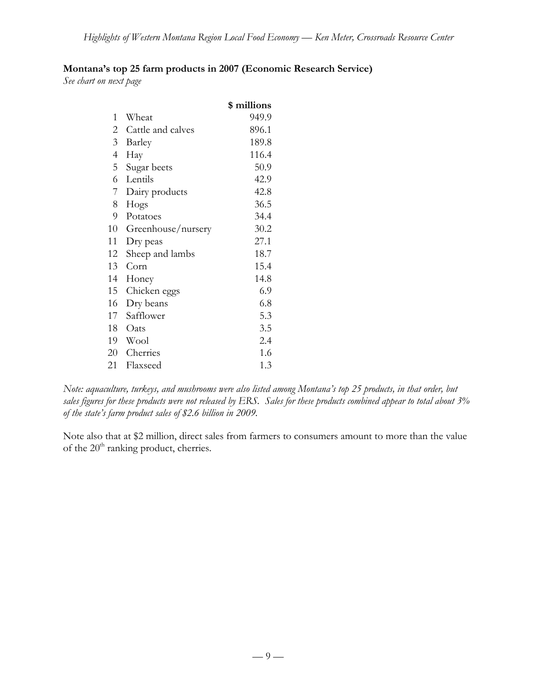## **Montana's top 25 farm products in 2007 (Economic Research Service)**

*See chart on next page*

|                          |                    | \$ millions |
|--------------------------|--------------------|-------------|
| 1                        | Wheat              | 949.9       |
| 2                        | Cattle and calves  | 896.1       |
| 3                        | Barley             | 189.8       |
| $\overline{\mathcal{A}}$ | Hay                | 116.4       |
| 5                        | Sugar beets        | 50.9        |
| 6                        | Lentils            | 42.9        |
| 7                        | Dairy products     | 42.8        |
| 8                        | Hogs               | 36.5        |
| 9                        | Potatoes           | 34.4        |
| 10                       | Greenhouse/nursery | 30.2        |
| 11                       | Dry peas           | 27.1        |
| 12                       | Sheep and lambs    | 18.7        |
| 13                       | Corn               | 15.4        |
| 14                       | Honey              | 14.8        |
| 15                       | Chicken eggs       | 6.9         |
| 16                       | Dry beans          | 6.8         |
| 17                       | Safflower          | 5.3         |
| 18                       | Oats               | 3.5         |
| 19                       | Wool               | 2.4         |
| 20                       | Cherries           | 1.6         |
| 21                       | Flaxseed           | 1.3         |

*Note: aquaculture, turkeys, and mushrooms were also listed among Montana's top 25 products, in that order, but sales figures for these products were not released by ERS. Sales for these products combined appear to total about 3% of the state's farm product sales of \$2.6 billion in 2009.*

Note also that at \$2 million, direct sales from farmers to consumers amount to more than the value of the 20<sup>th</sup> ranking product, cherries.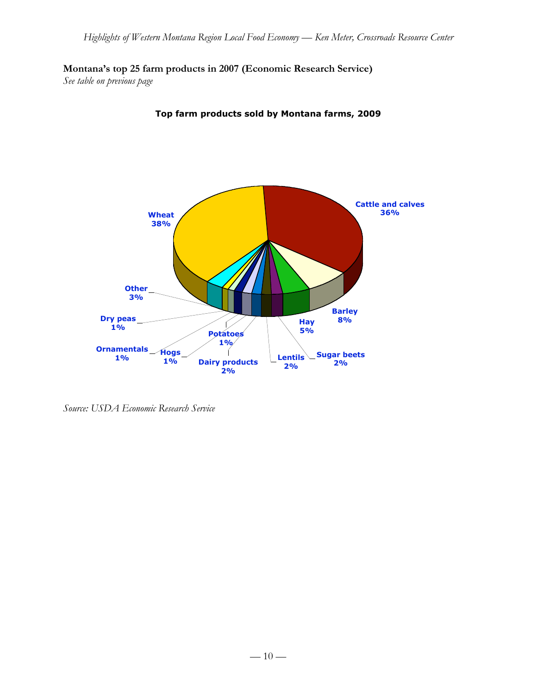**Montana's top 25 farm products in 2007 (Economic Research Service)**

*See table on previous page*



**Top farm products sold by Montana farms, 2009**

*Source: USDA Economic Research Service*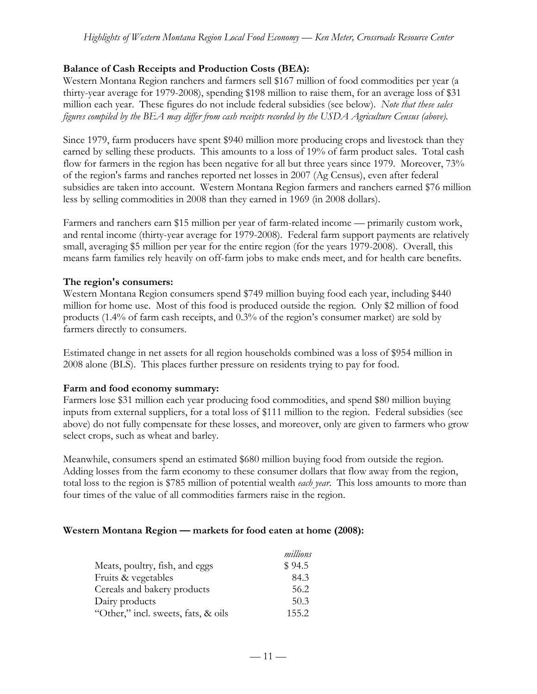#### **Balance of Cash Receipts and Production Costs (BEA):**

Western Montana Region ranchers and farmers sell \$167 million of food commodities per year (a thirty-year average for 1979-2008), spending \$198 million to raise them, for an average loss of \$31 million each year. These figures do not include federal subsidies (see below). *Note that these sales figures compiled by the BEA may differ from cash receipts recorded by the USDA Agriculture Census (above).*

Since 1979, farm producers have spent \$940 million more producing crops and livestock than they earned by selling these products. This amounts to a loss of 19% of farm product sales. Total cash flow for farmers in the region has been negative for all but three years since 1979. Moreover, 73% of the region's farms and ranches reported net losses in 2007 (Ag Census), even after federal subsidies are taken into account. Western Montana Region farmers and ranchers earned \$76 million less by selling commodities in 2008 than they earned in 1969 (in 2008 dollars).

Farmers and ranchers earn \$15 million per year of farm-related income — primarily custom work, and rental income (thirty-year average for 1979-2008). Federal farm support payments are relatively small, averaging \$5 million per year for the entire region (for the years 1979-2008). Overall, this means farm families rely heavily on off-farm jobs to make ends meet, and for health care benefits.

#### **The region's consumers:**

Western Montana Region consumers spend \$749 million buying food each year, including \$440 million for home use. Most of this food is produced outside the region. Only \$2 million of food products (1.4% of farm cash receipts, and 0.3% of the region's consumer market) are sold by farmers directly to consumers.

Estimated change in net assets for all region households combined was a loss of \$954 million in 2008 alone (BLS). This places further pressure on residents trying to pay for food.

#### **Farm and food economy summary:**

Farmers lose \$31 million each year producing food commodities, and spend \$80 million buying inputs from external suppliers, for a total loss of \$111 million to the region. Federal subsidies (see above) do not fully compensate for these losses, and moreover, only are given to farmers who grow select crops, such as wheat and barley.

Meanwhile, consumers spend an estimated \$680 million buying food from outside the region. Adding losses from the farm economy to these consumer dollars that flow away from the region, total loss to the region is \$785 million of potential wealth *each year*. This loss amounts to more than four times of the value of all commodities farmers raise in the region.

#### **Western Montana Region — markets for food eaten at home (2008):**

|                                     | millions |
|-------------------------------------|----------|
| Meats, poultry, fish, and eggs      | \$94.5   |
| Fruits & vegetables                 | 84.3     |
| Cereals and bakery products         | 56.2     |
| Dairy products                      | 50.3     |
| "Other," incl. sweets, fats, & oils | 155.2    |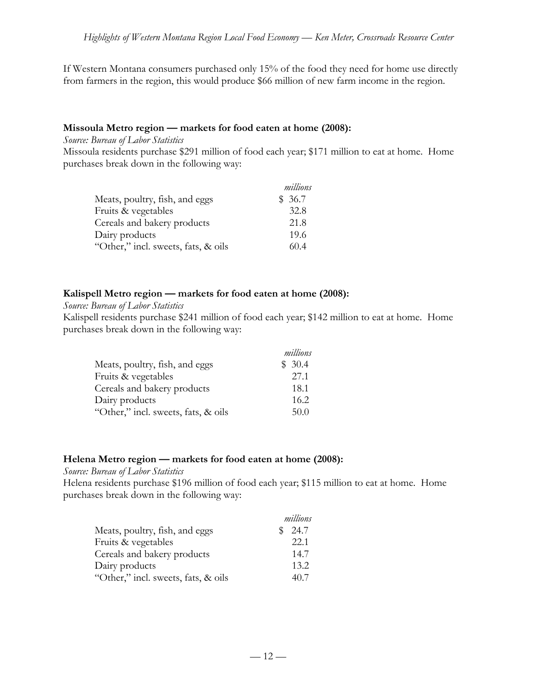If Western Montana consumers purchased only 15% of the food they need for home use directly from farmers in the region, this would produce \$66 million of new farm income in the region.

#### **Missoula Metro region — markets for food eaten at home (2008):**

*Source: Bureau of Labor Statistics*

Missoula residents purchase \$291 million of food each year; \$171 million to eat at home. Home purchases break down in the following way:

|                                     | millions |
|-------------------------------------|----------|
| Meats, poultry, fish, and eggs      | \$36.7   |
| Fruits & vegetables                 | 32.8     |
| Cereals and bakery products         | 21.8     |
| Dairy products                      | 19.6     |
| "Other," incl. sweets, fats, & oils | 60.4     |

#### **Kalispell Metro region — markets for food eaten at home (2008):**

#### *Source: Bureau of Labor Statistics*

Kalispell residents purchase \$241 million of food each year; \$142 million to eat at home. Home purchases break down in the following way:

|                                     | millions |
|-------------------------------------|----------|
| Meats, poultry, fish, and eggs      | \$30.4   |
| Fruits & vegetables                 | 27.1     |
| Cereals and bakery products         | 18.1     |
| Dairy products                      | 16.2     |
| "Other," incl. sweets, fats, & oils | 50.0     |

## **Helena Metro region — markets for food eaten at home (2008):**

#### *Source: Bureau of Labor Statistics*

Helena residents purchase \$196 million of food each year; \$115 million to eat at home. Home purchases break down in the following way:

|                                     | millions |
|-------------------------------------|----------|
| Meats, poultry, fish, and eggs      | 24.7     |
| Fruits & vegetables                 | 22.1     |
| Cereals and bakery products         | 14.7     |
| Dairy products                      | 13.2     |
| "Other," incl. sweets, fats, & oils | 40.7     |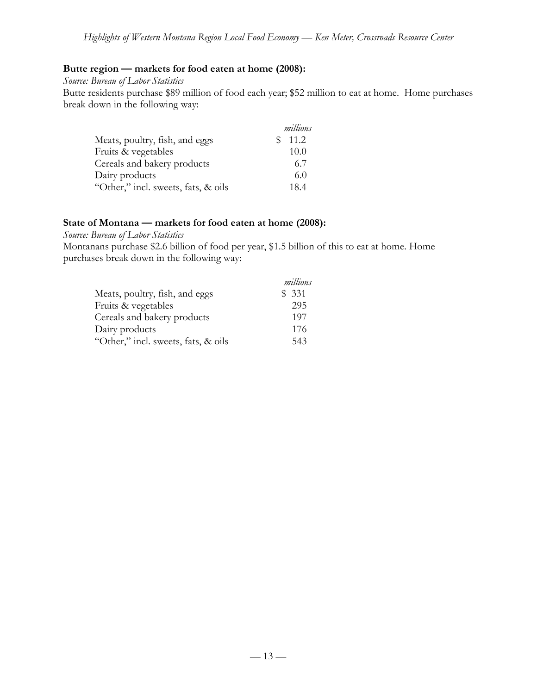#### **Butte region — markets for food eaten at home (2008):**

*Source: Bureau of Labor Statistics*

Butte residents purchase \$89 million of food each year; \$52 million to eat at home. Home purchases break down in the following way:

|                                     | millions |
|-------------------------------------|----------|
| Meats, poultry, fish, and eggs      | 11.2     |
| Fruits & vegetables                 | 10.0     |
| Cereals and bakery products         | 6.7      |
| Dairy products                      | 6.0      |
| "Other," incl. sweets, fats, & oils | 18.4     |

#### **State of Montana — markets for food eaten at home (2008):**

*Source: Bureau of Labor Statistics*

Montanans purchase \$2.6 billion of food per year, \$1.5 billion of this to eat at home. Home purchases break down in the following way:

|                                     | millions |
|-------------------------------------|----------|
| Meats, poultry, fish, and eggs      | \$331    |
| Fruits & vegetables                 | 295      |
| Cereals and bakery products         | 197      |
| Dairy products                      | 176      |
| "Other," incl. sweets, fats, & oils | 543      |